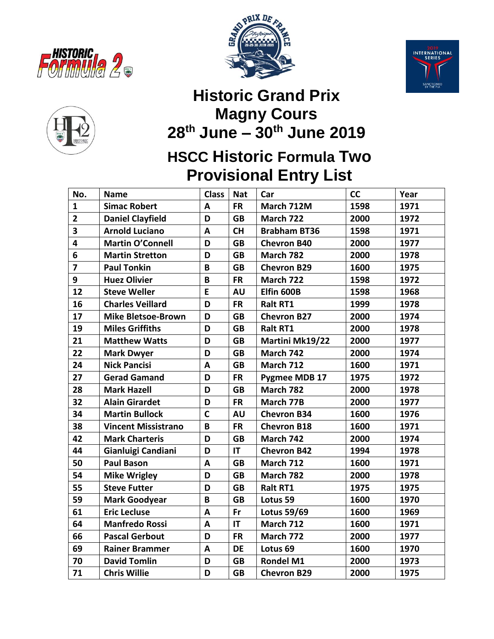







## **Historic Grand Prix Magny Cours th June – 30 th June 2019**

## **HSCC Historic Formula Two Provisional Entry List**

| No.            | <b>Name</b>                | <b>Class</b> | <b>Nat</b> | Car                 | cc   | Year |
|----------------|----------------------------|--------------|------------|---------------------|------|------|
| $\mathbf{1}$   | <b>Simac Robert</b>        | A            | <b>FR</b>  | March 712M          | 1598 | 1971 |
| $\overline{2}$ | <b>Daniel Clayfield</b>    | D            | <b>GB</b>  | March 722           | 2000 | 1972 |
| 3              | <b>Arnold Luciano</b>      | A            | <b>CH</b>  | <b>Brabham BT36</b> | 1598 | 1971 |
| 4              | <b>Martin O'Connell</b>    | D            | <b>GB</b>  | <b>Chevron B40</b>  | 2000 | 1977 |
| 6              | <b>Martin Stretton</b>     | D            | <b>GB</b>  | March 782           | 2000 | 1978 |
| $\overline{7}$ | <b>Paul Tonkin</b>         | B            | <b>GB</b>  | <b>Chevron B29</b>  | 1600 | 1975 |
| 9              | <b>Huez Olivier</b>        | B            | <b>FR</b>  | March 722           | 1598 | 1972 |
| 12             | <b>Steve Weller</b>        | E            | AU         | Elfin 600B          | 1598 | 1968 |
| 16             | <b>Charles Veillard</b>    | D            | <b>FR</b>  | <b>Ralt RT1</b>     | 1999 | 1978 |
| 17             | <b>Mike Bletsoe-Brown</b>  | D            | <b>GB</b>  | <b>Chevron B27</b>  | 2000 | 1974 |
| 19             | <b>Miles Griffiths</b>     | D            | <b>GB</b>  | <b>Ralt RT1</b>     | 2000 | 1978 |
| 21             | <b>Matthew Watts</b>       | D            | <b>GB</b>  | Martini Mk19/22     | 2000 | 1977 |
| 22             | <b>Mark Dwyer</b>          | D            | <b>GB</b>  | March 742           | 2000 | 1974 |
| 24             | <b>Nick Pancisi</b>        | A            | <b>GB</b>  | March 712           | 1600 | 1971 |
| 27             | <b>Gerad Gamand</b>        | D            | <b>FR</b>  | Pygmee MDB 17       | 1975 | 1972 |
| 28             | <b>Mark Hazell</b>         | D            | <b>GB</b>  | March 782           | 2000 | 1978 |
| 32             | <b>Alain Girardet</b>      | D            | <b>FR</b>  | March 77B           | 2000 | 1977 |
| 34             | <b>Martin Bullock</b>      | $\mathsf{C}$ | <b>AU</b>  | <b>Chevron B34</b>  | 1600 | 1976 |
| 38             | <b>Vincent Missistrano</b> | $\mathsf B$  | <b>FR</b>  | <b>Chevron B18</b>  | 1600 | 1971 |
| 42             | <b>Mark Charteris</b>      | D            | <b>GB</b>  | March 742           | 2000 | 1974 |
| 44             | Gianluigi Candiani         | D            | IT         | <b>Chevron B42</b>  | 1994 | 1978 |
| 50             | <b>Paul Bason</b>          | A            | <b>GB</b>  | March 712           | 1600 | 1971 |
| 54             | <b>Mike Wrigley</b>        | D            | <b>GB</b>  | March 782           | 2000 | 1978 |
| 55             | <b>Steve Futter</b>        | D            | <b>GB</b>  | <b>Ralt RT1</b>     | 1975 | 1975 |
| 59             | <b>Mark Goodyear</b>       | $\mathsf B$  | <b>GB</b>  | Lotus 59            | 1600 | 1970 |
| 61             | <b>Eric Lecluse</b>        | $\mathbf{A}$ | Fr         | <b>Lotus 59/69</b>  | 1600 | 1969 |
| 64             | <b>Manfredo Rossi</b>      | A            | IT         | March 712           | 1600 | 1971 |
| 66             | <b>Pascal Gerbout</b>      | D            | <b>FR</b>  | March 772           | 2000 | 1977 |
| 69             | <b>Rainer Brammer</b>      | A            | <b>DE</b>  | Lotus <sub>69</sub> | 1600 | 1970 |
| 70             | <b>David Tomlin</b>        | D            | <b>GB</b>  | <b>Rondel M1</b>    | 2000 | 1973 |
| 71             | <b>Chris Willie</b>        | D            | <b>GB</b>  | <b>Chevron B29</b>  | 2000 | 1975 |